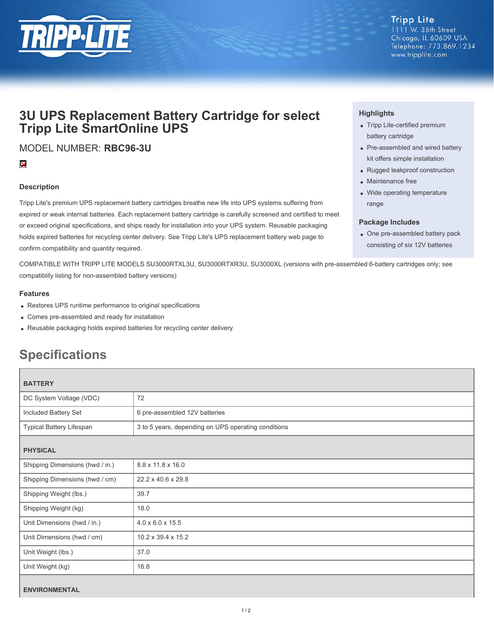

# **3U UPS Replacement Battery Cartridge for select Tripp Lite SmartOnline UPS**

MODEL NUMBER: **RBC96-3U**

# $\overline{\mathbf{X}}$

## **Description**

Tripp Lite's premium UPS replacement battery cartridges breathe new life into UPS systems suffering from expired or weak internal batteries. Each replacement battery cartridge is carefully screened and certified to meet or exceed original specifications, and ships ready for installation into your UPS system. Reusable packaging holds expired batteries for recycling center delivery. See Tripp Lite's UPS replacement battery web page to confirm compatibility and quantity required.

COMPATIBLE WITH TRIPP LITE MODELS SU3000RTXL3U, SU3000RTXR3U, SU3000XL (versions with pre-assembled 6-battery cartridges only; see compatiblity listing for non-assembled battery versions)

#### **Features**

- Restores UPS runtime performance to original specifications
- Comes pre-assembled and ready for installation
- Reusable packaging holds expired batteries for recycling center delivery

# **Specifications**

| <b>BATTERY</b>                  |                                                     |
|---------------------------------|-----------------------------------------------------|
| DC System Voltage (VDC)         | 72                                                  |
| Included Battery Set            | 6 pre-assembled 12V batteries                       |
| Typical Battery Lifespan        | 3 to 5 years, depending on UPS operating conditions |
| <b>PHYSICAL</b>                 |                                                     |
| Shipping Dimensions (hwd / in.) | 8.8 x 11.8 x 16.0                                   |
| Shipping Dimensions (hwd / cm)  | 22.2 x 40.6 x 29.8                                  |
| Shipping Weight (lbs.)          | 39.7                                                |
| Shipping Weight (kg)            | 18.0                                                |
| Unit Dimensions (hwd / in.)     | $4.0 \times 6.0 \times 15.5$                        |
| Unit Dimensions (hwd / cm)      | 10.2 x 39.4 x 15.2                                  |
| Unit Weight (lbs.)              | 37.0                                                |
| Unit Weight (kg)                | 16.8                                                |
| <b>ENVIRONMENTAL</b>            |                                                     |

### **Highlights**

- Tripp Lite-certified premium battery cartridge
- Pre-assembled and wired battery kit offers simple installation
- Rugged leakproof construction
- Maintenance free
- Wide operating temperature range

#### **Package Includes**

One pre-assembled battery pack consisting of six 12V batteries